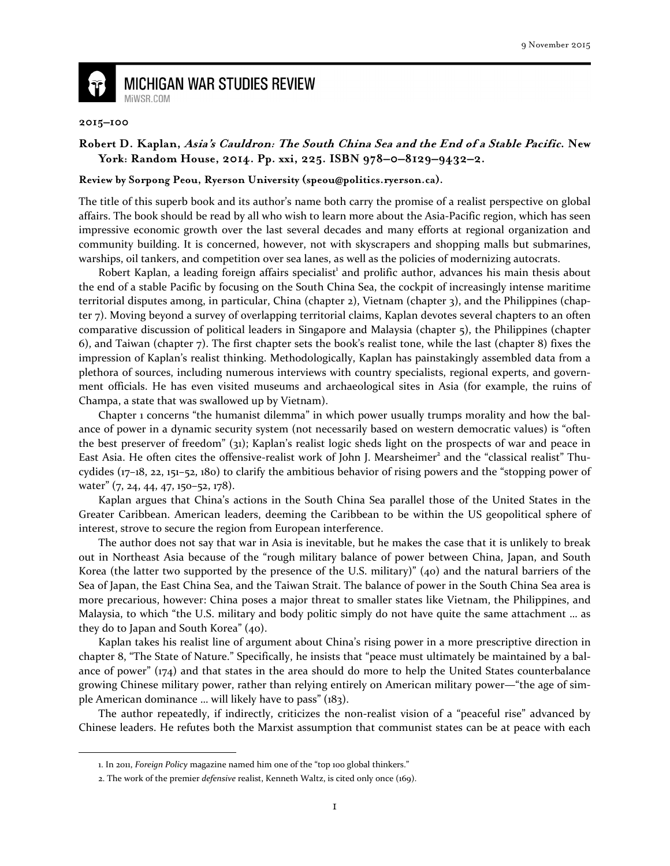

## **MICHIGAN WAR STUDIES REVIEW** MiWSR.COM

## **2015–100**

 $\overline{\phantom{0}}$ 

## **Robert D. Kaplan, Asia's Cauldron: The South China Sea and the End of a Stable Pacific. New York: Random House, 2014. Pp. xxi, 225. ISBN 978–0–8129–9432–2.**

## **Review by Sorpong Peou, Ryerson University (speou@politics.ryerson.ca).**

The title of this superb book and its author's name both carry the promise of a realist perspective on global affairs. The book should be read by all who wish to learn more about the Asia-Pacific region, which has seen impressive economic growth over the last several decades and many efforts at regional organization and community building. It is concerned, however, not with skyscrapers and shopping malls but submarines, warships, oil tankers, and competition over sea lanes, as well as the policies of modernizing autocrats.

Robert Kaplan, a leading foreign affairs specialist<sup>1</sup> and prolific author, advances his main thesis about the end of a stable Pacific by focusing on the South China Sea, the cockpit of increasingly intense maritime territorial disputes among, in particular, China (chapter 2), Vietnam (chapter 3), and the Philippines (chapter 7). Moving beyond a survey of overlapping territorial claims, Kaplan devotes several chapters to an often comparative discussion of political leaders in Singapore and Malaysia (chapter 5), the Philippines (chapter 6), and Taiwan (chapter 7). The first chapter sets the book's realist tone, while the last (chapter 8) fixes the impression of Kaplan's realist thinking. Methodologically, Kaplan has painstakingly assembled data from a plethora of sources, including numerous interviews with country specialists, regional experts, and government officials. He has even visited museums and archaeological sites in Asia (for example, the ruins of Champa, a state that was swallowed up by Vietnam).

 Chapter 1 concerns "the humanist dilemma" in which power usually trumps morality and how the balance of power in a dynamic security system (not necessarily based on western democratic values) is "often the best preserver of freedom" (31); Kaplan's realist logic sheds light on the prospects of war and peace in East Asia. He often cites the offensive-realist work of John J. Mearsheimer<sup>2</sup> and the "classical realist" Thucydides (17–18, 22, 151–52, 180) to clarify the ambitious behavior of rising powers and the "stopping power of water" (7, 24, 44, 47, 150-52, 178).

 Kaplan argues that China's actions in the South China Sea parallel those of the United States in the Greater Caribbean. American leaders, deeming the Caribbean to be within the US geopolitical sphere of interest, strove to secure the region from European interference.

 The author does not say that war in Asia is inevitable, but he makes the case that it is unlikely to break out in Northeast Asia because of the "rough military balance of power between China, Japan, and South Korea (the latter two supported by the presence of the U.S. military)" (40) and the natural barriers of the Sea of Japan, the East China Sea, and the Taiwan Strait. The balance of power in the South China Sea area is more precarious, however: China poses a major threat to smaller states like Vietnam, the Philippines, and Malaysia, to which "the U.S. military and body politic simply do not have quite the same attachment … as they do to Japan and South Korea" (40).

 Kaplan takes his realist line of argument about China's rising power in a more prescriptive direction in chapter 8, "The State of Nature." Specifically, he insists that "peace must ultimately be maintained by a balance of power" (174) and that states in the area should do more to help the United States counterbalance growing Chinese military power, rather than relying entirely on American military power—"the age of simple American dominance … will likely have to pass" (183).

 The author repeatedly, if indirectly, criticizes the non-realist vision of a "peaceful rise" advanced by Chinese leaders. He refutes both the Marxist assumption that communist states can be at peace with each

<sup>1.</sup> In 2011, Foreign Policy magazine named him one of the "top 100 global thinkers."

<sup>2.</sup> The work of the premier defensive realist, Kenneth Waltz, is cited only once (169).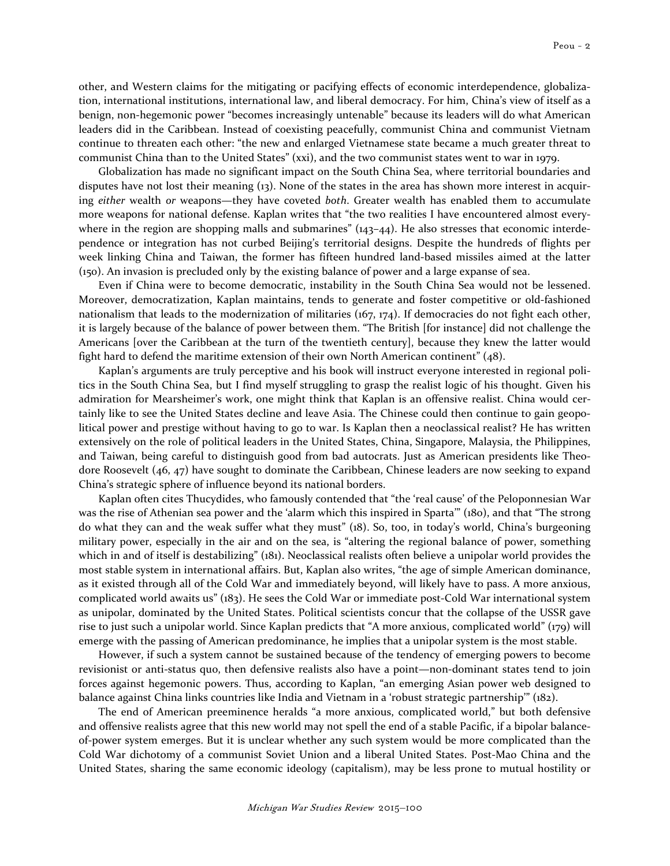other, and Western claims for the mitigating or pacifying effects of economic interdependence, globalization, international institutions, international law, and liberal democracy. For him, China's view of itself as a benign, non-hegemonic power "becomes increasingly untenable" because its leaders will do what American leaders did in the Caribbean. Instead of coexisting peacefully, communist China and communist Vietnam continue to threaten each other: "the new and enlarged Vietnamese state became a much greater threat to communist China than to the United States" (xxi), and the two communist states went to war in 1979.

 Globalization has made no significant impact on the South China Sea, where territorial boundaries and disputes have not lost their meaning (13). None of the states in the area has shown more interest in acquiring either wealth or weapons—they have coveted both. Greater wealth has enabled them to accumulate more weapons for national defense. Kaplan writes that "the two realities I have encountered almost everywhere in the region are shopping malls and submarines" (143-44). He also stresses that economic interdependence or integration has not curbed Beijing's territorial designs. Despite the hundreds of flights per week linking China and Taiwan, the former has fifteen hundred land-based missiles aimed at the latter (150). An invasion is precluded only by the existing balance of power and a large expanse of sea.

 Even if China were to become democratic, instability in the South China Sea would not be lessened. Moreover, democratization, Kaplan maintains, tends to generate and foster competitive or old-fashioned nationalism that leads to the modernization of militaries (167, 174). If democracies do not fight each other, it is largely because of the balance of power between them. "The British [for instance] did not challenge the Americans [over the Caribbean at the turn of the twentieth century], because they knew the latter would fight hard to defend the maritime extension of their own North American continent" (48).

 Kaplan's arguments are truly perceptive and his book will instruct everyone interested in regional politics in the South China Sea, but I find myself struggling to grasp the realist logic of his thought. Given his admiration for Mearsheimer's work, one might think that Kaplan is an offensive realist. China would certainly like to see the United States decline and leave Asia. The Chinese could then continue to gain geopolitical power and prestige without having to go to war. Is Kaplan then a neoclassical realist? He has written extensively on the role of political leaders in the United States, China, Singapore, Malaysia, the Philippines, and Taiwan, being careful to distinguish good from bad autocrats. Just as American presidents like Theodore Roosevelt (46, 47) have sought to dominate the Caribbean, Chinese leaders are now seeking to expand China's strategic sphere of influence beyond its national borders.

 Kaplan often cites Thucydides, who famously contended that "the 'real cause' of the Peloponnesian War was the rise of Athenian sea power and the 'alarm which this inspired in Sparta'" (180), and that "The strong do what they can and the weak suffer what they must" (18). So, too, in today's world, China's burgeoning military power, especially in the air and on the sea, is "altering the regional balance of power, something which in and of itself is destabilizing" (181). Neoclassical realists often believe a unipolar world provides the most stable system in international affairs. But, Kaplan also writes, "the age of simple American dominance, as it existed through all of the Cold War and immediately beyond, will likely have to pass. A more anxious, complicated world awaits us" (183). He sees the Cold War or immediate post-Cold War international system as unipolar, dominated by the United States. Political scientists concur that the collapse of the USSR gave rise to just such a unipolar world. Since Kaplan predicts that "A more anxious, complicated world" (179) will emerge with the passing of American predominance, he implies that a unipolar system is the most stable.

 However, if such a system cannot be sustained because of the tendency of emerging powers to become revisionist or anti-status quo, then defensive realists also have a point—non-dominant states tend to join forces against hegemonic powers. Thus, according to Kaplan, "an emerging Asian power web designed to balance against China links countries like India and Vietnam in a 'robust strategic partnership'" (182).

 The end of American preeminence heralds "a more anxious, complicated world," but both defensive and offensive realists agree that this new world may not spell the end of a stable Pacific, if a bipolar balanceof-power system emerges. But it is unclear whether any such system would be more complicated than the Cold War dichotomy of a communist Soviet Union and a liberal United States. Post-Mao China and the United States, sharing the same economic ideology (capitalism), may be less prone to mutual hostility or